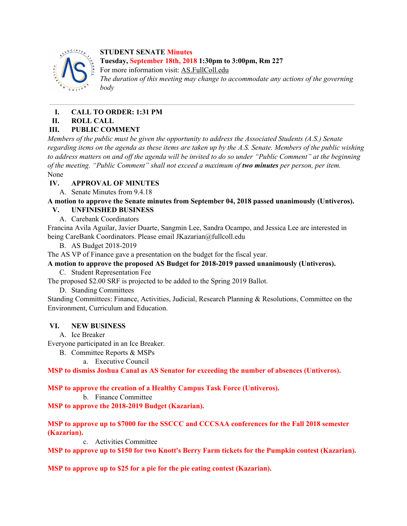

**STUDENT SENATE Minutes Tuesday, September 18th, 2018 1:30pm to 3:00pm, Rm 227**

For more information visit: AS.FullColl.edu

*The duration of this meeting may change to accommodate any actions of the governing body*

# **I. CALL TO ORDER: 1:31 PM**

## **II. ROLL CALL**

# **III. PUBLIC COMMENT**

*Members of the public must be given the opportunity to address the Associated Students (A.S.) Senate* regarding items on the agenda as these items are taken up by the A.S. Senate. Members of the public wishing to address matters on and off the agenda will be invited to do so under "Public Comment" at the beginning *of the meeting. "Public Comment" shall not exceed a maximum of two minutes per person, per item.* None

## **IV. APPROVAL OF MINUTES**

A. Senate Minutes from 9.4.18

**A motion to approve the Senate minutes from September 04, 2018 passed unanimously (Untiveros).**

# **V. UNFINISHED BUSINESS**

A. Carebank Coordinators

Francina Avila Aguilar, Javier Duarte, Sangmin Lee, Sandra Ocampo, and Jessica Lee are interested in being CareBank Coordinators. Please email JKazarian@fullcoll.edu

B. AS Budget 2018-2019

The AS VP of Finance gave a presentation on the budget for the fiscal year.

# **A motion to approve the proposed AS Budget for 2018-2019 passed unanimously (Untiveros).**

C. Student Representation Fee

The proposed \$2.00 SRF is projected to be added to the Spring 2019 Ballot.

D. Standing Committees

Standing Committees: Finance, Activities, Judicial, Research Planning & Resolutions, Committee on the Environment, Curriculum and Education.

## **VI. NEW BUSINESS**

A. Ice Breaker

Everyone participated in an Ice Breaker.

- B. Committee Reports & MSPs
	- a. Executive Council

**MSP to dismiss Joshua Canal as AS Senator for exceeding the number of absences (Untiveros).**

## **MSP to approve the creation of a Healthy Campus Task Force (Untiveros).**

b. Finance Committee

**MSP to approve the 2018-2019 Budget (Kazarian).**

**MSP to approve up to \$7000 for the SSCCC and CCCSAA conferences for the Fall 2018 semester (Kazarian).**

c. Activities Committee

**MSP to approve up to \$150 for two Knott's Berry Farm tickets for the Pumpkin contest (Kazarian).**

**MSP to approve up to \$25 for a pie for the pie eating contest (Kazarian).**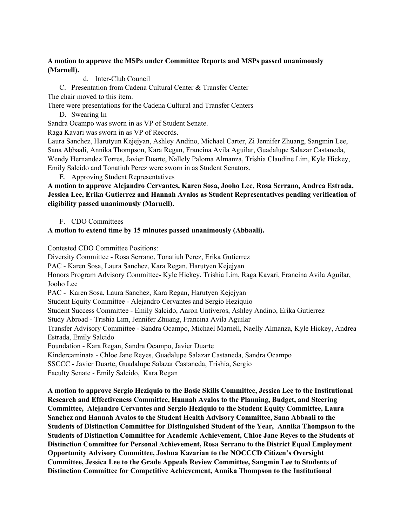### **A motion to approve the MSPs under Committee Reports and MSPs passed unanimously (Marnell).**

d. Inter-Club Council

C. Presentation from Cadena Cultural Center & Transfer Center

The chair moved to this item.

There were presentations for the Cadena Cultural and Transfer Centers

D. Swearing In

Sandra Ocampo was sworn in as VP of Student Senate.

Raga Kavari was sworn in as VP of Records.

Laura Sanchez, Harutyun Kejejyan, Ashley Andino, Michael Carter, Zi Jennifer Zhuang, Sangmin Lee, Sana Abbaali, Annika Thompson, Kara Regan, Francina Avila Aguilar, Guadalupe Salazar Castaneda, Wendy Hernandez Torres, Javier Duarte, Nallely Paloma Almanza, Trishia Claudine Lim, Kyle Hickey, Emily Salcido and Tonatiuh Perez were sworn in as Student Senators.

E. Approving Student Representatives

**A motion to approve Alejandro Cervantes, Karen Sosa, Jooho Lee, Rosa Serrano, Andrea Estrada, Jessica Lee, Erika Gutierrez and Hannah Avalos as Student Representatives pending verification of eligibility passed unanimously (Marnell).**

#### F. CDO Committees

### **A motion to extend time by 15 minutes passed unanimously (Abbaali).**

Contested CDO Committee Positions:

Diversity Committee - Rosa Serrano, Tonatiuh Perez, Erika Gutierrez PAC - Karen Sosa, Laura Sanchez, Kara Regan, Harutyen Kejejyan Honors Program Advisory Committee- Kyle Hickey, Trishia Lim, Raga Kavari, Francina Avila Aguilar, Jooho Lee PAC - Karen Sosa, Laura Sanchez, Kara Regan, Harutyen Kejejyan Student Equity Committee - Alejandro Cervantes and Sergio Heziquio Student Success Committee - Emily Salcido, Aaron Untiveros, Ashley Andino, Erika Gutierrez Study Abroad - Trishia Lim, Jennifer Zhuang, Francina Avila Aguilar Transfer Advisory Committee - Sandra Ocampo, Michael Marnell, Naelly Almanza, Kyle Hickey, Andrea Estrada, Emily Salcido Foundation - Kara Regan, Sandra Ocampo, Javier Duarte Kindercaminata - Chloe Jane Reyes, Guadalupe Salazar Castaneda, Sandra Ocampo SSCCC - Javier Duarte, Guadalupe Salazar Castaneda, Trishia, Sergio Faculty Senate - Emily Salcido, Kara Regan

**A motion to approve Sergio Heziquio to the Basic Skills Committee, Jessica Lee to the Institutional Research and Effectiveness Committee, Hannah Avalos to the Planning, Budget, and Steering Committee, Alejandro Cervantes and Sergio Heziquio to the Student Equity Committee, Laura Sanchez and Hannah Avalos to the Student Health Advisory Committee, Sana Abbaali to the Students of Distinction Committee for Distinguished Student of the Year, Annika Thompson to the Students of Distinction Committee for Academic Achievement, Chloe Jane Reyes to the Students of Distinction Committee for Personal Achievement, Rosa Serrano to the District Equal Employment Opportunity Advisory Committee, Joshua Kazarian to the NOCCCD Citizen's Oversight Committee, Jessica Lee to the Grade Appeals Review Committee, Sangmin Lee to Students of Distinction Committee for Competitive Achievement, Annika Thompson to the Institutional**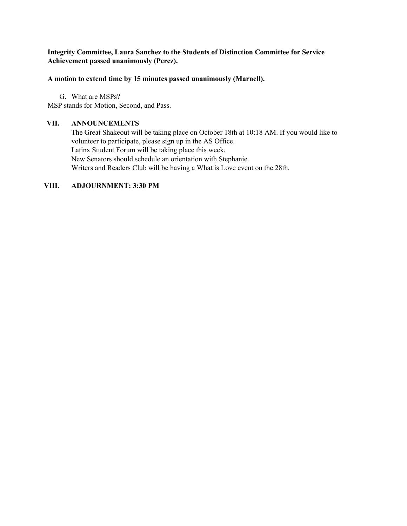#### **Integrity Committee, Laura Sanchez to the Students of Distinction Committee for Service Achievement passed unanimously (Perez).**

#### **A motion to extend time by 15 minutes passed unanimously (Marnell).**

G. What are MSPs? MSP stands for Motion, Second, and Pass.

#### **VII. ANNOUNCEMENTS**

The Great Shakeout will be taking place on October 18th at 10:18 AM. If you would like to volunteer to participate, please sign up in the AS Office. Latinx Student Forum will be taking place this week. New Senators should schedule an orientation with Stephanie. Writers and Readers Club will be having a What is Love event on the 28th.

#### **VIII. ADJOURNMENT: 3:30 PM**